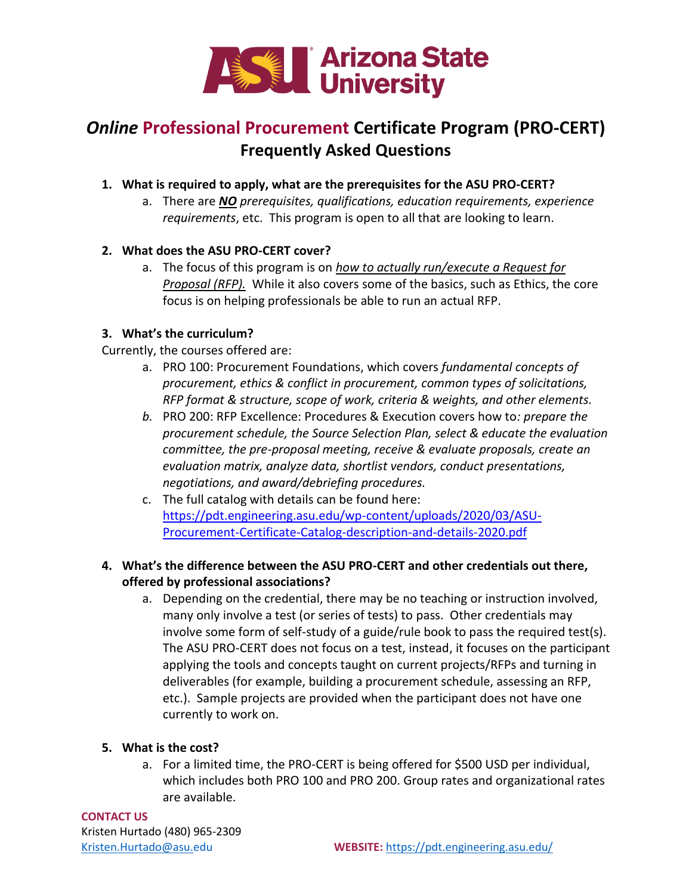

# *Online* **Professional Procurement Certificate Program (PRO-CERT) Frequently Asked Questions**

- **1. What is required to apply, what are the prerequisites for the ASU PRO-CERT?**
	- a. There are *NO prerequisites, qualifications, education requirements, experience requirements*, etc. This program is open to all that are looking to learn.

# **2. What does the ASU PRO-CERT cover?**

a. The focus of this program is on *how to actually run/execute a Request for Proposal (RFP).* While it also covers some of the basics, such as Ethics, the core focus is on helping professionals be able to run an actual RFP.

# **3. What's the curriculum?**

Currently, the courses offered are:

- a. PRO 100: Procurement Foundations, which covers *fundamental concepts of procurement, ethics & conflict in procurement, common types of solicitations, RFP format & structure, scope of work, criteria & weights, and other elements.*
- *b.* PRO 200: RFP Excellence: Procedures & Execution covers how to*: prepare the procurement schedule, the Source Selection Plan, select & educate the evaluation committee, the pre-proposal meeting, receive & evaluate proposals, create an evaluation matrix, analyze data, shortlist vendors, conduct presentations, negotiations, and award/debriefing procedures.*
- c. The full catalog with details can be found here: [https://pdt.engineering.asu.edu/wp-content/uploads/2020/03/ASU-](https://pdt.engineering.asu.edu/wp-content/uploads/2020/03/ASU-Procurement-Certificate-Catalog-description-and-details-2020.pdf)[Procurement-Certificate-Catalog-description-and-details-2020.pdf](https://pdt.engineering.asu.edu/wp-content/uploads/2020/03/ASU-Procurement-Certificate-Catalog-description-and-details-2020.pdf)
- **4. What's the difference between the ASU PRO-CERT and other credentials out there, offered by professional associations?**
	- a. Depending on the credential, there may be no teaching or instruction involved, many only involve a test (or series of tests) to pass. Other credentials may involve some form of self-study of a guide/rule book to pass the required test(s). The ASU PRO-CERT does not focus on a test, instead, it focuses on the participant applying the tools and concepts taught on current projects/RFPs and turning in deliverables (for example, building a procurement schedule, assessing an RFP, etc.). Sample projects are provided when the participant does not have one currently to work on.

### **5. What is the cost?**

a. For a limited time, the PRO-CERT is being offered for \$500 USD per individual, which includes both PRO 100 and PRO 200. Group rates and organizational rates are available.

**CONTACT US** Kristen Hurtado (480) 965-2309